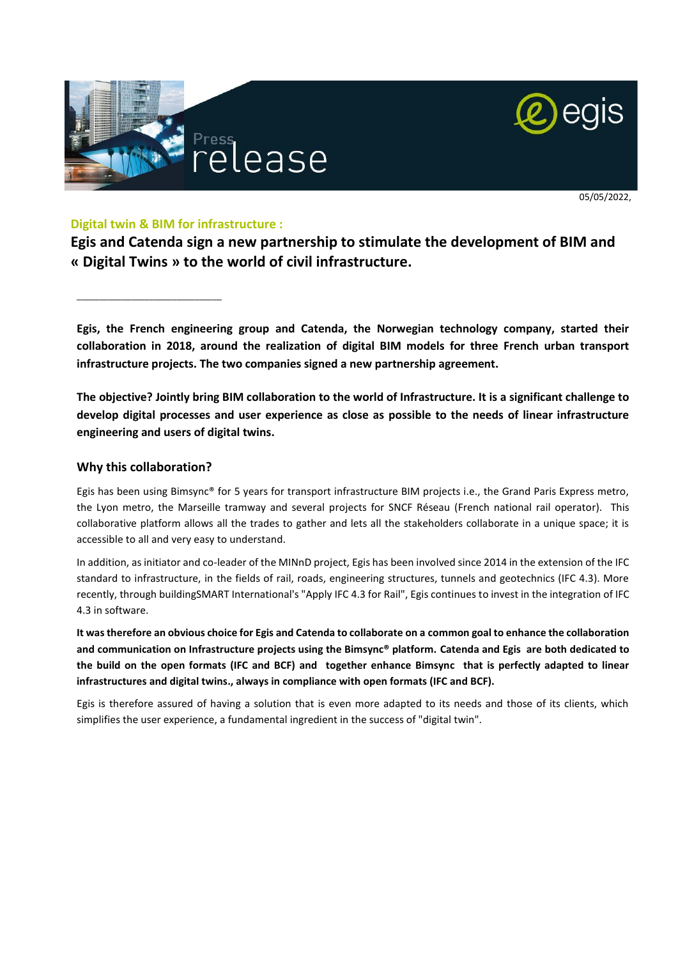



#### **Digital twin & BIM for infrastructure :**

**Egis and Catenda sign a new partnership to stimulate the development of BIM and « Digital Twins » to the world of civil infrastructure.** 

**Egis, the French engineering group and Catenda, the Norwegian technology company, started their collaboration in 2018, around the realization of digital BIM models for three French urban transport infrastructure projects. The two companies signed a new partnership agreement.**

**The objective? Jointly bring BIM collaboration to the world of Infrastructure. It is a significant challenge to develop digital processes and user experience as close as possible to the needs of linear infrastructure engineering and users of digital twins.** 

### **Why this collaboration?**

\_\_\_\_\_\_\_\_\_\_\_\_\_\_\_\_\_\_\_\_\_\_\_\_\_\_\_\_\_\_\_\_

Egis has been using Bimsync® for 5 years for transport infrastructure BIM projects i.e., the Grand Paris Express metro, the Lyon metro, the Marseille tramway and several projects for SNCF Réseau (French national rail operator). This collaborative platform allows all the trades to gather and lets all the stakeholders collaborate in a unique space; it is accessible to all and very easy to understand.

In addition, as initiator and co-leader of the MINnD project, Egis has been involved since 2014 in the extension of the IFC standard to infrastructure, in the fields of rail, roads, engineering structures, tunnels and geotechnics (IFC 4.3). More recently, through buildingSMART International's "Apply IFC 4.3 for Rail", Egis continues to invest in the integration of IFC 4.3 in software.

**It was therefore an obvious choice for Egis and Catenda to collaborate on a common goal to enhance the collaboration and communication on Infrastructure projects using the Bimsync® platform. Catenda and Egis are both dedicated to the build on the open formats (IFC and BCF) and together enhance Bimsync that is perfectly adapted to linear infrastructures and digital twins., always in compliance with open formats (IFC and BCF).** 

Egis is therefore assured of having a solution that is even more adapted to its needs and those of its clients, which simplifies the user experience, a fundamental ingredient in the success of "digital twin".